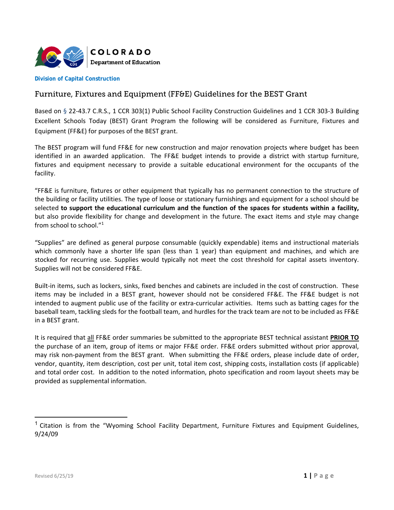

**Division of Capital Construction** 

# Furniture, Fixtures and Equipment (FF&E) Guidelines for the BEST Grant

 Based on § 22‐43.7 C.R.S., 1 CCR 303(1) Public School Facility Construction Guidelines and 1 CCR 303‐3 Building Excellent Schools Today (BEST) Grant Program the following will be considered as Furniture, Fixtures and Equipment (FF&E) for purposes of the BEST grant.

 The BEST program will fund FF&E for new construction and major renovation projects where budget has been identified in an awarded application. The FF&E budget intends to provide a district with startup furniture, fixtures and equipment necessary to provide a suitable educational environment for the occupants of the facility.

 the building or facility utilities. The type of loose or stationary furnishings and equipment for a school should be but also provide flexibility for change and development in the future. The exact items and style may change from school to school."1 "FF&E is furniture, fixtures or other equipment that typically has no permanent connection to the structure of selected **to support the educational curriculum and the function of the spaces for students within a facility,**

 which commonly have a shorter life span (less than 1 year) than equipment and machines, and which are stocked for recurring use. Supplies would typically not meet the cost threshold for capital assets inventory. "Supplies" are defined as general purpose consumable (quickly expendable) items and instructional materials Supplies will not be considered FF&E.

 Built‐in items, such as lockers, sinks, fixed benches and cabinets are included in the cost of construction. These items may be included in a BEST grant, however should not be considered FF&E. The FF&E budget is not intended to augment public use of the facility or extra‐curricular activities. Items such as batting cages for the baseball team, tackling sleds for the football team, and hurdles for the track team are not to be included as FF&E in a BEST grant.

 It is required that all FF&E order summaries be submitted to the appropriate BEST technical assistant **PRIOR TO** the purchase of an item, group of items or major FF&E order. FF&E orders submitted without prior approval, may risk non‐payment from the BEST grant. When submitting the FF&E orders, please include date of order, vendor, quantity, item description, cost per unit, total item cost, shipping costs, installation costs (if applicable) and total order cost. In addition to the noted information, photo specification and room layout sheets may be provided as supplemental information.

<sup>&</sup>lt;sup>1</sup> Citation is from the "Wyoming School Facility Department, Furniture Fixtures and Equipment Guidelines, 9/24/09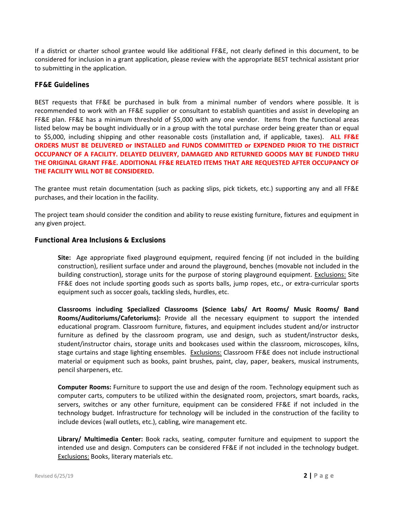If a district or charter school grantee would like additional FF&E, not clearly defined in this document, to be considered for inclusion in a grant application, please review with the appropriate BEST technical assistant prior to submitting in the application.

## **FF&E Guidelines**

FF&E plan. FF&E has a minimum threshold of \$5,000 with any one vendor. Items from the functional areas listed below may be bought individually or in a group with the total purchase order being greater than or equal to \$5,000, including shipping and other reasonable costs (installation and, if applicable, taxes). **ALL FF&E ORDERS MUST BE DELIVERED or INSTALLED and FUNDS COMMITTED or EXPENDED PRIOR TO THE DISTRICT OCCUPANCY OF A FACILITY. DELAYED DELIVERY, DAMAGED AND RETURNED GOODS MAY BE FUNDED THRU THE ORIGINAL GRANT FF&E. ADDITIONAL FF&E RELATED ITEMS THAT ARE REQUESTED AFTER OCCUPANCY OF** BEST requests that FF&E be purchased in bulk from a minimal number of vendors where possible. It is recommended to work with an FF&E supplier or consultant to establish quantities and assist in developing an **THE FACILITY WILL NOT BE CONSIDERED.**

The grantee must retain documentation (such as packing slips, pick tickets, etc.) supporting any and all FF&E purchases, and their location in the facility.

The project team should consider the condition and ability to reuse existing furniture, fixtures and equipment in any given project.

## **Functional Area Inclusions & Exclusions**

 **Site:** Age appropriate fixed playground equipment, required fencing (if not included in the building construction), resilient surface under and around the playground, benches (movable not included in the FF&E does not include sporting goods such as sports balls, jump ropes, etc., or extra-curricular sports building construction), storage units for the purpose of storing playground equipment. Exclusions: Site equipment such as soccer goals, tackling sleds, hurdles, etc.

 **Classrooms including Specialized Classrooms (Science Labs/ Art Rooms/ Music Rooms/ Band Rooms/Auditoriums/Cafetoriums):** Provide all the necessary equipment to support the intended furniture as defined by the classroom program, use and design, such as student/instructor desks, student/instructor chairs, storage units and bookcases used within the classroom, microscopes, kilns, material or equipment such as books, paint brushes, paint, clay, paper, beakers, musical instruments, educational program. Classroom furniture, fixtures, and equipment includes student and/or instructor stage curtains and stage lighting ensembles. Exclusions: Classroom FF&E does not include instructional pencil sharpeners, etc.

 **Computer Rooms:** Furniture to support the use and design of the room. Technology equipment such as computer carts, computers to be utilized within the designated room, projectors, smart boards, racks, technology budget. Infrastructure for technology will be included in the construction of the facility to servers, switches or any other furniture, equipment can be considered FF&E if not included in the include devices (wall outlets, etc.), cabling, wire management etc.

 intended use and design. Computers can be considered FF&E if not included in the technology budget. Library/ Multimedia Center: Book racks, seating, computer furniture and equipment to support the **Exclusions: Books, literary materials etc.**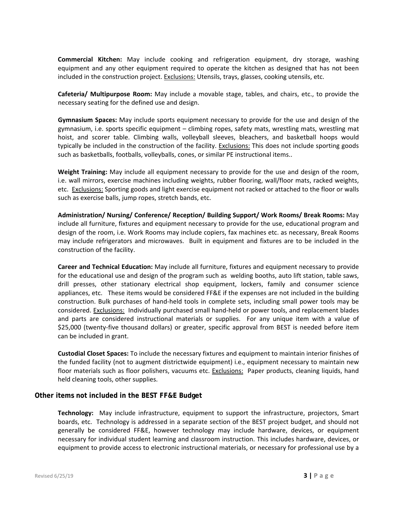**Commercial Kitchen:** May include cooking and refrigeration equipment, dry storage, washing equipment and any other equipment required to operate the kitchen as designed that has not been included in the construction project. Exclusions: Utensils, trays, glasses, cooking utensils, etc.

 necessary seating for the defined use and design. **Cafeteria/ Multipurpose Room:** May include a movable stage, tables, and chairs, etc., to provide the

 **Gymnasium Spaces:** May include sports equipment necessary to provide for the use and design of the gymnasium, i.e. sports specific equipment – climbing ropes, safety mats, wrestling mats, wrestling mat hoist, and scorer table. Climbing walls, volleyball sleeves, bleachers, and basketball hoops would typically be included in the construction of the facility. Exclusions: This does not include sporting goods such as basketballs, footballs, volleyballs, cones, or similar PE instructional items..

**Weight Training:** May include all equipment necessary to provide for the use and design of the room, i.e. wall mirrors, exercise machines including weights, rubber flooring, wall/floor mats, racked weights, etc. Exclusions: Sporting goods and light exercise equipment not racked or attached to the floor or walls such as exercise balls, jump ropes, stretch bands, etc.

 design of the room, i.e. Work Rooms may include copiers, fax machines etc. as necessary, Break Rooms may include refrigerators and microwaves. Built in equipment and fixtures are to be included in the **Administration/ Nursing/ Conference/ Reception/ Building Support/ Work Rooms/ Break Rooms:** May include all furniture, fixtures and equipment necessary to provide for the use, educational program and construction of the facility.

 **Career and Technical Education:** May include all furniture, fixtures and equipment necessary to provide drill presses, other stationary electrical shop equipment, lockers, family and consumer science appliances, etc. These items would be considered FF&E if the expenses are not included in the building considered. Exclusions: Individually purchased small hand-held or power tools, and replacement blades and parts are considered instructional materials or supplies. For any unique item with a value of \$25,000 (twenty‐five thousand dollars) or greater, specific approval from BEST is needed before item can be included in grant. for the educational use and design of the program such as welding booths, auto lift station, table saws, construction. Bulk purchases of hand‐held tools in complete sets, including small power tools may be

floor materials such as floor polishers, vacuums etc. Exclusions: Paper products, cleaning liquids, hand **Custodial Closet Spaces:** To include the necessary fixtures and equipment to maintain interior finishes of the funded facility (not to augment districtwide equipment) i.e., equipment necessary to maintain new held cleaning tools, other supplies.

## **Other items not included in the BEST FF&E Budget**

 **Technology:**  May include infrastructure, equipment to support the infrastructure, projectors, Smart boards, etc. Technology is addressed in a separate section of the BEST project budget, and should not generally be considered FF&E, however technology may include hardware, devices, or equipment necessary for individual student learning and classroom instruction. This includes hardware, devices, or equipment to provide access to electronic instructional materials, or necessary for professional use by a